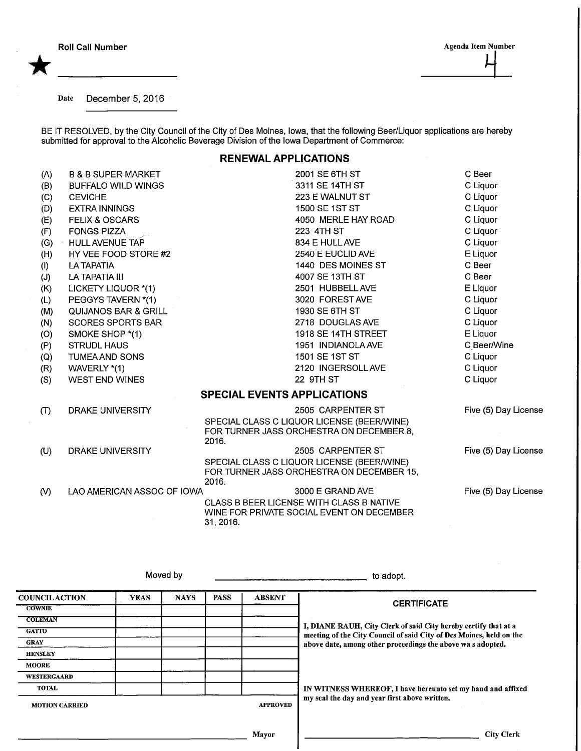\*

Date December 5, 2016

BE IT RESOLVED, by the City Council of the City of Des Moines, Iowa, that the following Beer/Liquor applications are hereb submitted for approval to the Alcoholic Beverage Division of the Iowa Department of Commerce:

## RENEWAL APPLICATIONS

| (A)                                | <b>B &amp; B SUPER MARKET</b>   |           | 2001 SE 6TH ST                                                                          | C Beer               |
|------------------------------------|---------------------------------|-----------|-----------------------------------------------------------------------------------------|----------------------|
| (B)                                | <b>BUFFALO WILD WINGS</b>       |           | 3311 SE 14TH ST                                                                         | C Liquor             |
| (C)                                | <b>CEVICHE</b>                  |           | 223 E WALNUT ST                                                                         | C Liquor             |
| (D)                                | <b>EXTRA INNINGS</b>            |           | 1500 SE 1ST ST                                                                          | C Liquor             |
| (E)                                | <b>FELIX &amp; OSCARS</b>       |           | 4050 MERLE HAY ROAD                                                                     | C Liquor             |
| (F)                                | <b>FONGS PIZZA</b>              |           | 223 4TH ST                                                                              | C Liquor             |
| (G)                                | HULL AVENUE TAP                 |           | 834 E HULL AVE                                                                          | C Liquor             |
| (H)                                | HY VEE FOOD STORE #2            |           | 2540 E EUCLID AVE                                                                       | E Liquor             |
| (1)                                | <b>LA TAPATIA</b>               |           | 1440 DES MOINES ST                                                                      | C Beer               |
| (J)                                | LA TAPATIA III                  |           | 4007 SE 13TH ST                                                                         | C Beer               |
| (K)                                | LICKETY LIQUOR *(1)             |           | 2501 HUBBELL AVE                                                                        | E Liquor             |
| (L)                                | PEGGYS TAVERN *(1)              |           | 3020 FOREST AVE                                                                         | C Liquor             |
| (M)                                | <b>QUIJANOS BAR &amp; GRILL</b> |           | 1930 SE 6TH ST                                                                          | C Liquor             |
| (N)                                | <b>SCORES SPORTS BAR</b>        |           | 2718 DOUGLAS AVE                                                                        | C Liquor             |
| (O)                                | SMOKE SHOP *(1)                 |           | 1918 SE 14TH STREET                                                                     | E Liquor             |
| (P)                                | <b>STRUDL HAUS</b>              |           | 1951 INDIANOLA AVE                                                                      | C Beer/Wine          |
| (Q)                                | <b>TUMEA AND SONS</b>           |           | 1501 SE 1ST ST                                                                          | C Liquor             |
| (R)                                | WAVERLY *(1)                    |           | 2120 INGERSOLL AVE                                                                      | C Liquor             |
| (S)                                | WEST END WINES                  |           | 22 9TH ST                                                                               | C Liquor             |
| <b>SPECIAL EVENTS APPLICATIONS</b> |                                 |           |                                                                                         |                      |
| (T)                                | DRAKE UNIVERSITY                |           | 2505 CARPENTER ST                                                                       | Five (5) Day License |
|                                    |                                 |           | SPECIAL CLASS C LIQUOR LICENSE (BEER/WINE)                                              |                      |
|                                    |                                 | 2016.     | FOR TURNER JASS ORCHESTRA ON DECEMBER 8,                                                |                      |
| (U)                                | DRAKE UNIVERSITY                |           | 2505 CARPENTER ST                                                                       | Five (5) Day License |
|                                    |                                 | 2016.     | SPECIAL CLASS C LIQUOR LICENSE (BEER/WINE)<br>FOR TURNER JASS ORCHESTRA ON DECEMBER 15, |                      |
| (V)                                | LAO AMERICAN ASSOC OF IOWA      |           | 3000 E GRAND AVE                                                                        | Five (5) Day License |
|                                    |                                 | 31, 2016. | CLASS B BEER LICENSE WITH CLASS B NATIVE<br>WINE FOR PRIVATE SOCIAL EVENT ON DECEMBER   |                      |
|                                    |                                 |           |                                                                                         |                      |

Moved by to adopt.

**COUNCILACTION COWNIE COLEMAN GATTO** GRAY **HENSLEY MOORE** WESTERGAAKD TOTAL YEAS NAYS | PASS | ABSENT MOTION CARRIED APPROVED Mayor **CERTIFICATE** I, DIANE RAUH, City Clerk of said City hereby certify that at a meeting of the City Council of said City of Des Moines, held on the above date, among other proceedings the above wa s adopted. IN WITNESS WHEREOF, I have hereunto set my hand and affixed my seal the day and year first above written. City Clerk